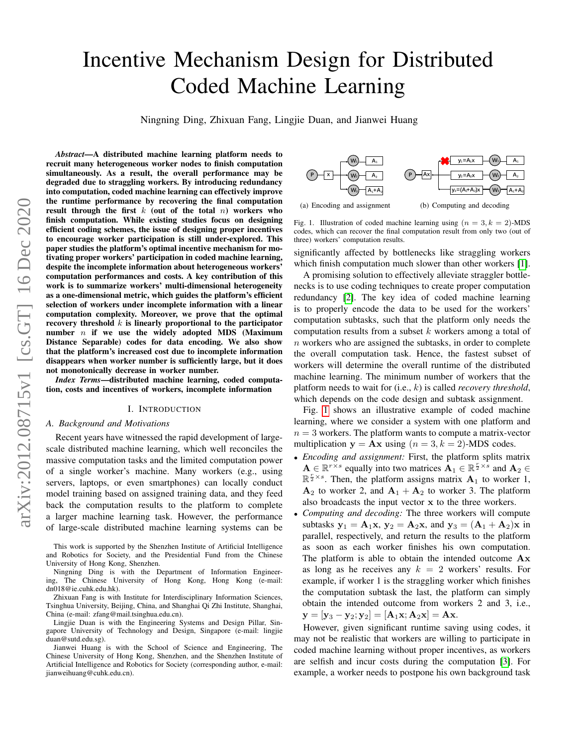# Incentive Mechanism Design for Distributed Coded Machine Learning

Ningning Ding, Zhixuan Fang, Lingjie Duan, and Jianwei Huang

*Abstract*—A distributed machine learning platform needs to recruit many heterogeneous worker nodes to finish computation simultaneously. As a result, the overall performance may be degraded due to straggling workers. By introducing redundancy into computation, coded machine learning can effectively improve the runtime performance by recovering the final computation result through the first  $k$  (out of the total  $n$ ) workers who finish computation. While existing studies focus on designing efficient coding schemes, the issue of designing proper incentives to encourage worker participation is still under-explored. This paper studies the platform's optimal incentive mechanism for motivating proper workers' participation in coded machine learning, despite the incomplete information about heterogeneous workers' computation performances and costs. A key contribution of this work is to summarize workers' multi-dimensional heterogeneity as a one-dimensional metric, which guides the platform's efficient selection of workers under incomplete information with a linear computation complexity. Moreover, we prove that the optimal recovery threshold  $k$  is linearly proportional to the participator number  $n$  if we use the widely adopted MDS (Maximum Distance Separable) codes for data encoding. We also show that the platform's increased cost due to incomplete information disappears when worker number is sufficiently large, but it does not monotonically decrease in worker number.

*Index Terms*—distributed machine learning, coded computation, costs and incentives of workers, incomplete information

# I. INTRODUCTION

#### *A. Background and Motivations*

Recent years have witnessed the rapid development of largescale distributed machine learning, which well reconciles the massive computation tasks and the limited computation power of a single worker's machine. Many workers (e.g., using servers, laptops, or even smartphones) can locally conduct model training based on assigned training data, and they feed back the computation results to the platform to complete a larger machine learning task. However, the performance of large-scale distributed machine learning systems can be

This work is supported by the Shenzhen Institute of Artificial Intelligence and Robotics for Society, and the Presidential Fund from the Chinese University of Hong Kong, Shenzhen.

Ningning Ding is with the Department of Information Engineering, The Chinese University of Hong Kong, Hong Kong (e-mail: dn018@ie.cuhk.edu.hk).

Zhixuan Fang is with Institute for Interdisciplinary Information Sciences, Tsinghua University, Beijing, China, and Shanghai Qi Zhi Institute, Shanghai, China (e-mail: zfang@mail.tsinghua.edu.cn).

Lingjie Duan is with the Engineering Systems and Design Pillar, Singapore University of Technology and Design, Singapore (e-mail: lingjie duan@sutd.edu.sg).

Jianwei Huang is with the School of Science and Engineering, The Chinese University of Hong Kong, Shenzhen, and the Shenzhen Institute of Artificial Intelligence and Robotics for Society (corresponding author, e-mail: jianweihuang@cuhk.edu.cn).



<span id="page-0-0"></span>Fig. 1. Illustration of coded machine learning using  $(n = 3, k = 2)$ -MDS codes, which can recover the final computation result from only two (out of three) workers' computation results.

significantly affected by bottlenecks like straggling workers which finish computation much slower than other workers [\[1\]](#page-9-0).

A promising solution to effectively alleviate straggler bottlenecks is to use coding techniques to create proper computation redundancy [\[2\]](#page-9-1). The key idea of coded machine learning is to properly encode the data to be used for the workers' computation subtasks, such that the platform only needs the computation results from a subset  $k$  workers among a total of  $n$  workers who are assigned the subtasks, in order to complete the overall computation task. Hence, the fastest subset of workers will determine the overall runtime of the distributed machine learning. The minimum number of workers that the platform needs to wait for (i.e., k) is called *recovery threshold*, which depends on the code design and subtask assignment.

Fig. [1](#page-0-0) shows an illustrative example of coded machine learning, where we consider a system with one platform and  $n = 3$  workers. The platform wants to compute a matrix-vector multiplication  $y = Ax$  using  $(n = 3, k = 2)$ -MDS codes.

- *Encoding and assignment:* First, the platform splits matrix  $\mathbf{A} \in \mathbb{R}^{r \times s}$  equally into two matrices  $\mathbf{A}_1 \in \mathbb{R}^{\frac{r}{2} \times s}$  and  $\mathbf{A}_2 \in$  $\mathbb{R}^{\frac{r}{2} \times s}$ . Then, the platform assigns matrix  $\mathbf{A}_1$  to worker 1,  $A_2$  to worker 2, and  $A_1 + A_2$  to worker 3. The platform also broadcasts the input vector x to the three workers.
- *Computing and decoding:* The three workers will compute subtasks  $y_1 = A_1x$ ,  $y_2 = A_2x$ , and  $y_3 = (A_1 + A_2)x$  in parallel, respectively, and return the results to the platform as soon as each worker finishes his own computation. The platform is able to obtain the intended outcome  $A x$ as long as he receives any  $k = 2$  workers' results. For example, if worker 1 is the straggling worker which finishes the computation subtask the last, the platform can simply obtain the intended outcome from workers 2 and 3, i.e.,  $y = [y_3 - y_2; y_2] = [A_1x; A_2x] = Ax.$

However, given significant runtime saving using codes, it may not be realistic that workers are willing to participate in coded machine learning without proper incentives, as workers are selfish and incur costs during the computation [\[3\]](#page-9-2). For example, a worker needs to postpone his own background task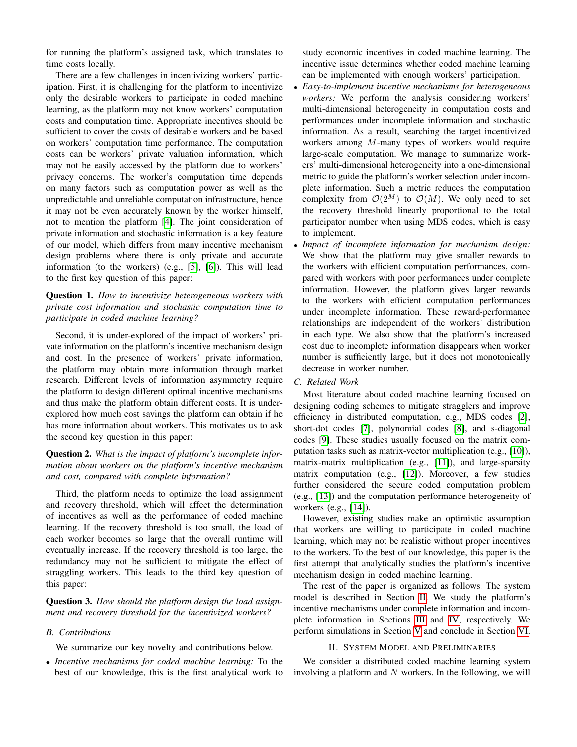for running the platform's assigned task, which translates to time costs locally.

There are a few challenges in incentivizing workers' participation. First, it is challenging for the platform to incentivize only the desirable workers to participate in coded machine learning, as the platform may not know workers' computation costs and computation time. Appropriate incentives should be sufficient to cover the costs of desirable workers and be based on workers' computation time performance. The computation costs can be workers' private valuation information, which may not be easily accessed by the platform due to workers' privacy concerns. The worker's computation time depends on many factors such as computation power as well as the unpredictable and unreliable computation infrastructure, hence it may not be even accurately known by the worker himself, not to mention the platform [\[4\]](#page-9-3). The joint consideration of private information and stochastic information is a key feature of our model, which differs from many incentive mechanism design problems where there is only private and accurate information (to the workers) (e.g., [\[5\]](#page-9-4), [\[6\]](#page-9-5)). This will lead to the first key question of this paper:

# Question 1. *How to incentivize heterogeneous workers with private cost information and stochastic computation time to participate in coded machine learning?*

Second, it is under-explored of the impact of workers' private information on the platform's incentive mechanism design and cost. In the presence of workers' private information, the platform may obtain more information through market research. Different levels of information asymmetry require the platform to design different optimal incentive mechanisms and thus make the platform obtain different costs. It is underexplored how much cost savings the platform can obtain if he has more information about workers. This motivates us to ask the second key question in this paper:

# Question 2. *What is the impact of platform's incomplete information about workers on the platform's incentive mechanism and cost, compared with complete information?*

Third, the platform needs to optimize the load assignment and recovery threshold, which will affect the determination of incentives as well as the performance of coded machine learning. If the recovery threshold is too small, the load of each worker becomes so large that the overall runtime will eventually increase. If the recovery threshold is too large, the redundancy may not be sufficient to mitigate the effect of straggling workers. This leads to the third key question of this paper:

Question 3. *How should the platform design the load assignment and recovery threshold for the incentivized workers?*

# *B. Contributions*

We summarize our key novelty and contributions below.

• *Incentive mechanisms for coded machine learning:* To the best of our knowledge, this is the first analytical work to study economic incentives in coded machine learning. The incentive issue determines whether coded machine learning can be implemented with enough workers' participation.

- *Easy-to-implement incentive mechanisms for heterogeneous workers:* We perform the analysis considering workers' multi-dimensional heterogeneity in computation costs and performances under incomplete information and stochastic information. As a result, searching the target incentivized workers among M-many types of workers would require large-scale computation. We manage to summarize workers' multi-dimensional heterogeneity into a one-dimensional metric to guide the platform's worker selection under incomplete information. Such a metric reduces the computation complexity from  $\mathcal{O}(2^M)$  to  $\mathcal{O}(M)$ . We only need to set the recovery threshold linearly proportional to the total participator number when using MDS codes, which is easy to implement.
- *Impact of incomplete information for mechanism design:* We show that the platform may give smaller rewards to the workers with efficient computation performances, compared with workers with poor performances under complete information. However, the platform gives larger rewards to the workers with efficient computation performances under incomplete information. These reward-performance relationships are independent of the workers' distribution in each type. We also show that the platform's increased cost due to incomplete information disappears when worker number is sufficiently large, but it does not monotonically decrease in worker number.

# *C. Related Work*

Most literature about coded machine learning focused on designing coding schemes to mitigate stragglers and improve efficiency in distributed computation, e.g., MDS codes [\[2\]](#page-9-1), short-dot codes [\[7\]](#page-9-6), polynomial codes [\[8\]](#page-9-7), and s-diagonal codes [\[9\]](#page-9-8). These studies usually focused on the matrix computation tasks such as matrix-vector multiplication (e.g., [\[10\]](#page-9-9)), matrix-matrix multiplication (e.g., [\[11\]](#page-9-10)), and large-sparsity matrix computation (e.g., [\[12\]](#page-9-11)). Moreover, a few studies further considered the secure coded computation problem (e.g., [\[13\]](#page-9-12)) and the computation performance heterogeneity of workers (e.g., [\[14\]](#page-9-13)).

However, existing studies make an optimistic assumption that workers are willing to participate in coded machine learning, which may not be realistic without proper incentives to the workers. To the best of our knowledge, this paper is the first attempt that analytically studies the platform's incentive mechanism design in coded machine learning.

The rest of the paper is organized as follows. The system model is described in Section [II.](#page-1-0) We study the platform's incentive mechanisms under complete information and incomplete information in Sections [III](#page-3-0) and [IV,](#page-5-0) respectively. We perform simulations in Section [V](#page-7-0) and conclude in Section [VI.](#page-8-0)

# II. SYSTEM MODEL AND PRELIMINARIES

<span id="page-1-0"></span>We consider a distributed coded machine learning system involving a platform and  $N$  workers. In the following, we will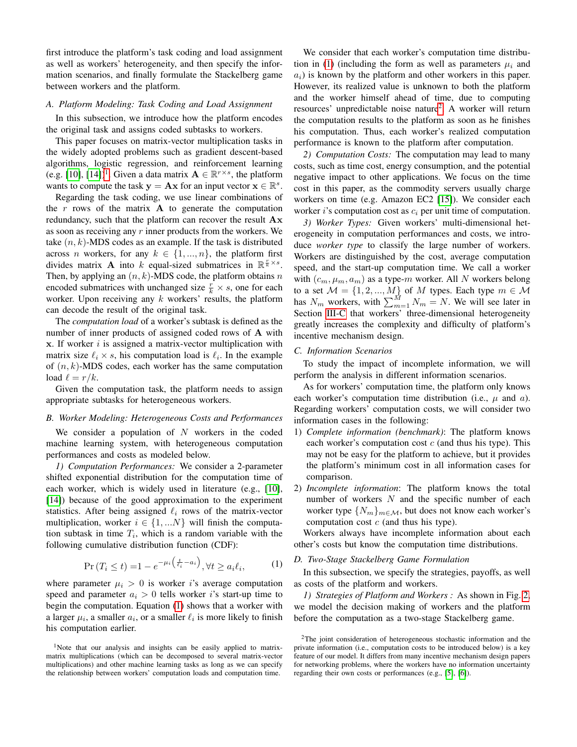first introduce the platform's task coding and load assignment as well as workers' heterogeneity, and then specify the information scenarios, and finally formulate the Stackelberg game between workers and the platform.

## <span id="page-2-3"></span>*A. Platform Modeling: Task Coding and Load Assignment*

In this subsection, we introduce how the platform encodes the original task and assigns coded subtasks to workers.

This paper focuses on matrix-vector multiplication tasks in the widely adopted problems such as gradient descent-based algorithms, logistic regression, and reinforcement learning (e.g. [\[10\]](#page-9-9), [\[14\]](#page-9-13))<sup>[1](#page-2-0)</sup>. Given a data matrix  $\mathbf{A} \in \mathbb{R}^{r \times s}$ , the platform wants to compute the task  $y = Ax$  for an input vector  $x \in \mathbb{R}^s$ .

Regarding the task coding, we use linear combinations of the r rows of the matrix  $\bf{A}$  to generate the computation redundancy, such that the platform can recover the result Ax as soon as receiving any r inner products from the workers. We take  $(n, k)$ -MDS codes as an example. If the task is distributed across *n* workers, for any  $k \in \{1, ..., n\}$ , the platform first divides matrix **A** into k equal-sized submatrices in  $\mathbb{R}^{\frac{r}{k} \times s}$ . Then, by applying an  $(n, k)$ -MDS code, the platform obtains n encoded submatrices with unchanged size  $\frac{r}{k} \times s$ , one for each worker. Upon receiving any  $k$  workers' results, the platform can decode the result of the original task.

The *computation load* of a worker's subtask is defined as the number of inner products of assigned coded rows of A with  $x$ . If worker  $i$  is assigned a matrix-vector multiplication with matrix size  $\ell_i \times s$ , his computation load is  $\ell_i$ . In the example of  $(n, k)$ -MDS codes, each worker has the same computation load  $\ell = r/k$ .

Given the computation task, the platform needs to assign appropriate subtasks for heterogeneous workers.

#### *B. Worker Modeling: Heterogeneous Costs and Performances*

We consider a population of  $N$  workers in the coded machine learning system, with heterogeneous computation performances and costs as modeled below.

*1) Computation Performances:* We consider a 2-parameter shifted exponential distribution for the computation time of each worker, which is widely used in literature (e.g., [\[10\]](#page-9-9), [\[14\]](#page-9-13)) because of the good approximation to the experiment statistics. After being assigned  $\ell_i$  rows of the matrix-vector multiplication, worker  $i \in \{1, ...N\}$  will finish the computation subtask in time  $T_i$ , which is a random variable with the following cumulative distribution function (CDF):

$$
\Pr\left(T_i \le t\right) = 1 - e^{-\mu_i \left(\frac{t}{\ell_i} - a_i\right)}, \forall t \ge a_i \ell_i,\tag{1}
$$

<span id="page-2-1"></span>where parameter  $\mu_i > 0$  is worker *i*'s average computation speed and parameter  $a_i > 0$  tells worker *i*'s start-up time to begin the computation. Equation [\(1\)](#page-2-1) shows that a worker with a larger  $\mu_i$ , a smaller  $a_i$ , or a smaller  $\ell_i$  is more likely to finish his computation earlier.

We consider that each worker's computation time distribu-tion in [\(1\)](#page-2-1) (including the form as well as parameters  $\mu_i$  and  $a_i$ ) is known by the platform and other workers in this paper. However, its realized value is unknown to both the platform and the worker himself ahead of time, due to computing resources' unpredictable noise nature<sup>[2](#page-2-2)</sup>. A worker will return the computation results to the platform as soon as he finishes his computation. Thus, each worker's realized computation performance is known to the platform after computation.

*2) Computation Costs:* The computation may lead to many costs, such as time cost, energy consumption, and the potential negative impact to other applications. We focus on the time cost in this paper, as the commodity servers usually charge workers on time (e.g. Amazon EC2 [\[15\]](#page-9-14)). We consider each worker i's computation cost as  $c_i$  per unit time of computation.

*3) Worker Types:* Given workers' multi-dimensional heterogeneity in computation performances and costs, we introduce *worker type* to classify the large number of workers. Workers are distinguished by the cost, average computation speed, and the start-up computation time. We call a worker with  $(c_m, \mu_m, a_m)$  as a type-m worker. All N workers belong to a set  $M = \{1, 2, ..., M\}$  of M types. Each type  $m \in \mathcal{M}$ has  $N_m$  workers, with  $\sum_{m=1}^{M} N_m = N$ . We will see later in Section [III-C](#page-4-0) that workers' three-dimensional heterogeneity greatly increases the complexity and difficulty of platform's incentive mechanism design.

#### *C. Information Scenarios*

To study the impact of incomplete information, we will perform the analysis in different information scenarios.

As for workers' computation time, the platform only knows each worker's computation time distribution (i.e.,  $\mu$  and  $\alpha$ ). Regarding workers' computation costs, we will consider two information cases in the following:

- 1) *Complete information (benchmark)*: The platform knows each worker's computation cost  $c$  (and thus his type). This may not be easy for the platform to achieve, but it provides the platform's minimum cost in all information cases for comparison.
- 2) *Incomplete information*: The platform knows the total number of workers  $N$  and the specific number of each worker type  $\{N_m\}_{m \in \mathcal{M}}$ , but does not know each worker's computation cost  $c$  (and thus his type).

Workers always have incomplete information about each other's costs but know the computation time distributions.

# *D. Two-Stage Stackelberg Game Formulation*

In this subsection, we specify the strategies, payoffs, as well as costs of the platform and workers.

*1) Strategies of Platform and Workers :* As shown in Fig. [2,](#page-3-1) we model the decision making of workers and the platform before the computation as a two-stage Stackelberg game.

<span id="page-2-0"></span><sup>&</sup>lt;sup>1</sup>Note that our analysis and insights can be easily applied to matrixmatrix multiplications (which can be decomposed to several matrix-vector multiplications) and other machine learning tasks as long as we can specify the relationship between workers' computation loads and computation time.

<span id="page-2-2"></span><sup>&</sup>lt;sup>2</sup>The joint consideration of heterogeneous stochastic information and the private information (i.e., computation costs to be introduced below) is a key feature of our model. It differs from many incentive mechanism design papers for networking problems, where the workers have no information uncertainty regarding their own costs or performances (e.g., [\[5\]](#page-9-4), [\[6\]](#page-9-5)).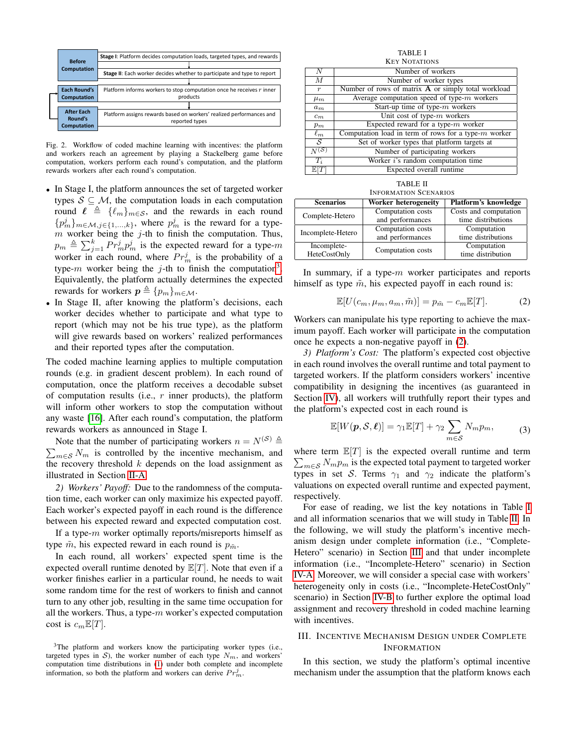

<span id="page-3-1"></span>Fig. 2. Workflow of coded machine learning with incentives: the platform and workers reach an agreement by playing a Stackelberg game before computation, workers perform each round's computation, and the platform rewards workers after each round's computation.

- In Stage I, the platform announces the set of targeted worker types  $S \subseteq M$ , the computation loads in each computation round  $\ell \triangleq {\ell_m}_{m\in\mathcal{S}}$ , and the rewards in each round  ${p_m^j}_{m \in \mathcal{M}, j \in \{1, ..., k\}}$ , where  $p_m^j$  is the reward for a type $m$  worker being the j-th to finish the computation. Thus,  $p_m \triangleq \sum_{j=1}^k Pr_m^j p_m^j$  is the expected reward for a type-m worker in each round, where  $Pr_m^j$  is the probability of a type-m worker being the j-th to finish the computation<sup>[3](#page-3-2)</sup>. Equivalently, the platform actually determines the expected rewards for workers  $p \triangleq \{p_m\}_{m \in \mathcal{M}}$ .
- In Stage II, after knowing the platform's decisions, each worker decides whether to participate and what type to report (which may not be his true type), as the platform will give rewards based on workers' realized performances and their reported types after the computation.

The coded machine learning applies to multiple computation rounds (e.g. in gradient descent problem). In each round of computation, once the platform receives a decodable subset of computation results (i.e.,  $r$  inner products), the platform will inform other workers to stop the computation without any waste [\[16\]](#page-9-15). After each round's computation, the platform rewards workers as announced in Stage I.

 $\sum_{m \in \mathcal{S}} N_m$  is controlled by the incentive mechanism, and Note that the number of participating workers  $n = N^{(S)} \triangleq$ the recovery threshold  $k$  depends on the load assignment as illustrated in Section [II-A.](#page-2-3)

*2) Workers' Payoff:* Due to the randomness of the computation time, each worker can only maximize his expected payoff. Each worker's expected payoff in each round is the difference between his expected reward and expected computation cost.

If a type- $m$  worker optimally reports/misreports himself as type  $\tilde{m}$ , his expected reward in each round is  $p_{\tilde{m}}$ .

In each round, all workers' expected spent time is the expected overall runtime denoted by  $\mathbb{E}[T]$ . Note that even if a worker finishes earlier in a particular round, he needs to wait some random time for the rest of workers to finish and cannot turn to any other job, resulting in the same time occupation for all the workers. Thus, a type- $m$  worker's expected computation cost is  $c_m \mathbb{E}[T]$ .

<span id="page-3-4"></span>TABLE I KEY NOTATIONS N Number of workers<br>
M Number of worker tvr Number of worker types  $r$  Number of rows of matrix **A** or simply total workload  $\mu_m$  Average computation speed of type-*m* workers<br>  $\mu_m$  Start-up time of type-*m* workers Start-up time of type- $m$  workers  $c_m$  Unit cost of type-*m* workers  $p_m$  Expected reward for a type- $m$  worker  $\ell_m$  Computation load in term of rows for a type-m worker  $S$  Set of worker types that platform targets at  $S$  Set of worker types that platform targets at Number of narticinating workers Number of participating workers  $T_i$  Worker *i*'s random computation time<br>  $\mathbb{E}[T]$  Expected overall runtime Expected overall runtime

| <b>TABLE II</b>              |
|------------------------------|
| <b>INFORMATION SCENARIOS</b> |

<span id="page-3-5"></span>

| <b>Scenarios</b>  | Worker heterogeneity | Platform's knowledge  |
|-------------------|----------------------|-----------------------|
| Complete-Hetero   | Computation costs    | Costs and computation |
|                   | and performances     | time distributions    |
| Incomplete-Hetero | Computation costs    | Computation           |
|                   | and performances     | time distributions    |
| Incomplete-       | Computation costs    | Computation           |
| HeteCostOnly      |                      | time distribution     |

In summary, if a type- $m$  worker participates and reports himself as type  $\tilde{m}$ , his expected payoff in each round is:

$$
\mathbb{E}[U(c_m, \mu_m, a_m, \tilde{m})] = p_{\tilde{m}} - c_m \mathbb{E}[T]. \tag{2}
$$

<span id="page-3-3"></span>Workers can manipulate his type reporting to achieve the maximum payoff. Each worker will participate in the computation once he expects a non-negative payoff in [\(2\)](#page-3-3).

*3) Platform's Cost:* The platform's expected cost objective in each round involves the overall runtime and total payment to targeted workers. If the platform considers workers' incentive compatibility in designing the incentives (as guaranteed in Section [IV\)](#page-5-0), all workers will truthfully report their types and the platform's expected cost in each round is

$$
\mathbb{E}[W(\boldsymbol{p},\mathcal{S},\boldsymbol{\ell})] = \gamma_1 \mathbb{E}[T] + \gamma_2 \sum_{m \in \mathcal{S}} N_m p_m, \tag{3}
$$

<span id="page-3-6"></span>where term  $\mathbb{E}[T]$  is the expected overall runtime and term  $\sum_{m \in \mathcal{S}} N_m p_m$  is the expected total payment to targeted worker types in set S. Terms  $\gamma_1$  and  $\gamma_2$  indicate the platform's valuations on expected overall runtime and expected payment, respectively.

For ease of reading, we list the key notations in Table [I](#page-3-4) and all information scenarios that we will study in Table [II.](#page-3-5) In the following, we will study the platform's incentive mechanism design under complete information (i.e., "Complete-Hetero" scenario) in Section [III](#page-3-0) and that under incomplete information (i.e., "Incomplete-Hetero" scenario) in Section [IV-A.](#page-5-1) Moreover, we will consider a special case with workers' heterogeneity only in costs (i.e., "Incomplete-HeteCostOnly" scenario) in Section [IV-B](#page-6-0) to further explore the optimal load assignment and recovery threshold in coded machine learning with incentives.

# <span id="page-3-0"></span>III. INCENTIVE MECHANISM DESIGN UNDER COMPLETE INFORMATION

In this section, we study the platform's optimal incentive mechanism under the assumption that the platform knows each

<span id="page-3-2"></span><sup>&</sup>lt;sup>3</sup>The platform and workers know the participating worker types (i.e., targeted types in  $S$ ), the worker number of each type  $N_m$ , and workers' computation time distributions in [\(1\)](#page-2-1) under both complete and incomplete information, so both the platform and workers can derive  $Pr_m^j$ .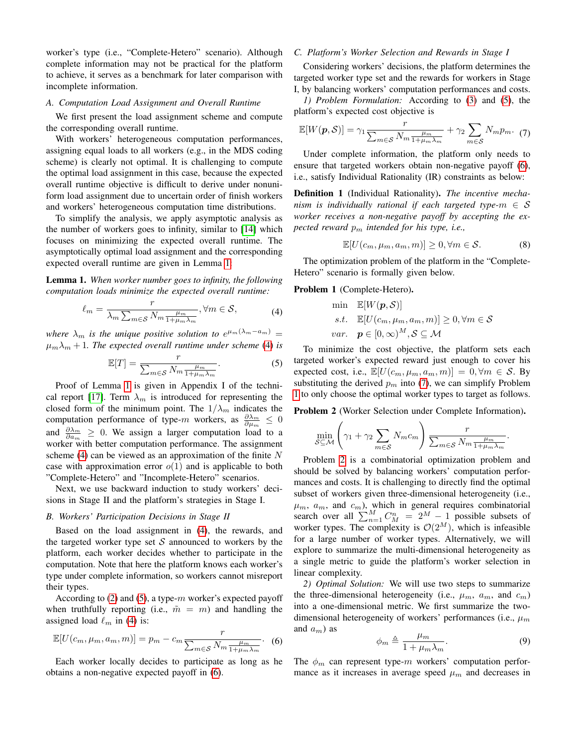worker's type (i.e., "Complete-Hetero" scenario). Although complete information may not be practical for the platform to achieve, it serves as a benchmark for later comparison with incomplete information.

#### *A. Computation Load Assignment and Overall Runtime*

We first present the load assignment scheme and compute the corresponding overall runtime.

With workers' heterogeneous computation performances, assigning equal loads to all workers (e.g., in the MDS coding scheme) is clearly not optimal. It is challenging to compute the optimal load assignment in this case, because the expected overall runtime objective is difficult to derive under nonuniform load assignment due to uncertain order of finish workers and workers' heterogeneous computation time distributions.

To simplify the analysis, we apply asymptotic analysis as the number of workers goes to infinity, similar to [\[14\]](#page-9-13) which focuses on minimizing the expected overall runtime. The asymptotically optimal load assignment and the corresponding expected overall runtime are given in Lemma [1:](#page-4-1)

<span id="page-4-1"></span>Lemma 1. *When worker number goes to infinity, the following computation loads minimize the expected overall runtime:*

<span id="page-4-2"></span>
$$
\ell_m = \frac{r}{\lambda_m \sum_{m \in \mathcal{S}} N_m \frac{\mu_m}{1 + \mu_m \lambda_m}}, \forall m \in \mathcal{S},\tag{4}
$$

where  $\lambda_m$  is the unique positive solution to  $e^{\mu_m(\lambda_m - a_m)} =$  $\mu_m \lambda_m + 1$ *. The expected overall runtime under scheme* [\(4\)](#page-4-2) *is* 

<span id="page-4-3"></span>
$$
\mathbb{E}[T] = \frac{r}{\sum_{m \in \mathcal{S}} N_m \frac{\mu_m}{1 + \mu_m \lambda_m}}.
$$
 (5)

Proof of Lemma [1](#page-4-1) is given in Appendix I of the techni-cal report [\[17\]](#page-9-16). Term  $\lambda_m$  is introduced for representing the closed form of the minimum point. The  $1/\lambda_m$  indicates the computation performance of type-m workers, as  $\frac{\partial \lambda_m}{\partial \mu_m} \leq 0$ and  $\frac{\partial \lambda_m}{\partial a_m} \geq 0$ . We assign a larger computation load to a worker with better computation performance. The assignment scheme [\(4\)](#page-4-2) can be viewed as an approximation of the finite  $N$ case with approximation error  $o(1)$  and is applicable to both "Complete-Hetero" and "Incomplete-Hetero" scenarios.

Next, we use backward induction to study workers' decisions in Stage II and the platform's strategies in Stage I.

#### *B. Workers' Participation Decisions in Stage II*

Based on the load assignment in [\(4\)](#page-4-2), the rewards, and the targeted worker type set  $S$  announced to workers by the platform, each worker decides whether to participate in the computation. Note that here the platform knows each worker's type under complete information, so workers cannot misreport their types.

According to  $(2)$  and  $(5)$ , a type-m worker's expected payoff when truthfully reporting (i.e.,  $\tilde{m} = m$ ) and handling the assigned load  $\ell_m$  in [\(4\)](#page-4-2) is:

<span id="page-4-4"></span>
$$
\mathbb{E}[U(c_m, \mu_m, a_m, m)] = p_m - c_m \frac{r}{\sum_{m \in \mathcal{S}} N_m \frac{\mu_m}{1 + \mu_m \lambda_m}}.
$$
 (6)

Each worker locally decides to participate as long as he obtains a non-negative expected payoff in [\(6\)](#page-4-4).

# <span id="page-4-0"></span>*C. Platform's Worker Selection and Rewards in Stage I*

Considering workers' decisions, the platform determines the targeted worker type set and the rewards for workers in Stage I, by balancing workers' computation performances and costs.

*1) Problem Formulation:* According to [\(3\)](#page-3-6) and [\(5\)](#page-4-3), the platform's expected cost objective is

<span id="page-4-5"></span>
$$
\mathbb{E}[W(\boldsymbol{p},\mathcal{S})] = \gamma_1 \frac{r}{\sum_{m \in \mathcal{S}} N_m \frac{\mu_m}{1 + \mu_m \lambda_m}} + \gamma_2 \sum_{m \in \mathcal{S}} N_m p_m. \tag{7}
$$

Under complete information, the platform only needs to ensure that targeted workers obtain non-negative payoff [\(6\)](#page-4-4), i.e., satisfy Individual Rationality (IR) constraints as below:

Definition 1 (Individual Rationality). *The incentive mechanism is individually rational if each targeted type-* $m \in S$ *worker receives a non-negative payoff by accepting the expected reward* p<sup>m</sup> *intended for his type, i.e.,*

<span id="page-4-8"></span>
$$
\mathbb{E}[U(c_m, \mu_m, a_m, m)] \ge 0, \forall m \in \mathcal{S}.
$$
 (8)

The optimization problem of the platform in the "Complete-Hetero" scenario is formally given below.

# <span id="page-4-6"></span>Problem 1 (Complete-Hetero).

 $m[III]/(p)$ ]

min 
$$
\mathbb{E}[W(\mathbf{p}, \mathcal{S})]
$$
  
s.t.  $\mathbb{E}[U(c_m, \mu_m, a_m, m)] \ge 0, \forall m \in \mathcal{S}$   
var.  $\mathbf{p} \in [0, \infty)^M, \mathcal{S} \subseteq \mathcal{M}$ 

To minimize the cost objective, the platform sets each targeted worker's expected reward just enough to cover his expected cost, i.e.,  $\mathbb{E}[U(c_m, \mu_m, a_m, m)] = 0, \forall m \in S$ . By substituting the derived  $p_m$  into [\(7\)](#page-4-5), we can simplify Problem [1](#page-4-6) to only choose the optimal worker types to target as follows.

<span id="page-4-7"></span>Problem 2 (Worker Selection under Complete Information).

$$
\min_{\mathcal{S} \subseteq \mathcal{M}} \left( \gamma_1 + \gamma_2 \sum_{m \in \mathcal{S}} N_m c_m \right) \frac{r}{\sum_{m \in \mathcal{S}} N_m \frac{\mu_m}{1 + \mu_m \lambda_m}}.
$$

Problem [2](#page-4-7) is a combinatorial optimization problem and should be solved by balancing workers' computation performances and costs. It is challenging to directly find the optimal subset of workers given three-dimensional heterogeneity (i.e.,  $\mu_m$ ,  $a_m$ , and  $c_m$ ), which in general requires combinatorial search over all  $\sum_{n=1}^{M} C_{M}^{n} = 2^{M} - 1$  possible subsets of worker types. The complexity is  $\mathcal{O}(2^M)$ , which is infeasible for a large number of worker types. Alternatively, we will explore to summarize the multi-dimensional heterogeneity as a single metric to guide the platform's worker selection in linear complexity.

*2) Optimal Solution:* We will use two steps to summarize the three-dimensional heterogeneity (i.e.,  $\mu_m$ ,  $a_m$ , and  $c_m$ ) into a one-dimensional metric. We first summarize the twodimensional heterogeneity of workers' performances (i.e.,  $\mu_m$ ) and  $a_m$ ) as

$$
\phi_m \triangleq \frac{\mu_m}{1 + \mu_m \lambda_m}.\tag{9}
$$

The  $\phi_m$  can represent type-m workers' computation performance as it increases in average speed  $\mu_m$  and decreases in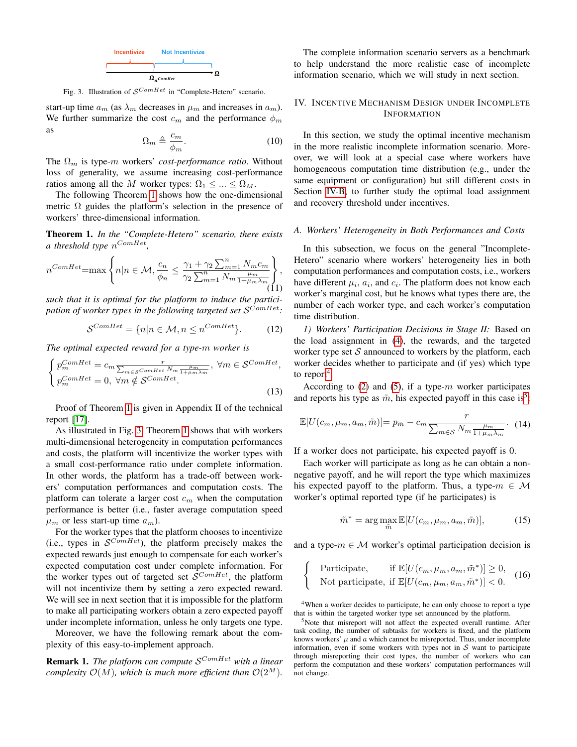

<span id="page-5-3"></span>Fig. 3. Illustration of  $\mathcal{S}^{ComHet}$  in "Complete-Hetero" scenario.

start-up time  $a_m$  (as  $\lambda_m$  decreases in  $\mu_m$  and increases in  $a_m$ ). We further summarize the cost  $c_m$  and the performance  $\phi_m$ as

$$
\Omega_m \triangleq \frac{c_m}{\phi_m}.\tag{10}
$$

The  $\Omega_m$  is type-m workers' *cost-performance ratio*. Without loss of generality, we assume increasing cost-performance ratios among all the M worker types:  $\Omega_1 \leq ... \leq \Omega_M$ .

The following Theorem [1](#page-5-2) shows how the one-dimensional metric  $\Omega$  guides the platform's selection in the presence of workers' three-dimensional information.

<span id="page-5-2"></span>Theorem 1. *In the "Complete-Hetero" scenario, there exists a threshold type* n ComHet *,*

<span id="page-5-6"></span>
$$
n^{ComHet} = \max\left\{ n | n \in \mathcal{M}, \frac{c_n}{\phi_n} \le \frac{\gamma_1 + \gamma_2 \sum_{m=1}^n N_m c_m}{\gamma_2 \sum_{m=1}^n N_m \frac{\mu_m}{1 + \mu_m \lambda_m}} \right\},\tag{11}
$$

*such that it is optimal for the platform to induce the participation of worker types in the following targeted set* S ComHet*:*

$$
S^{ComHet} = \{n|n \in \mathcal{M}, n \le n^{ComHet}\}. \tag{12}
$$

*The optimal expected reward for a type-*m *worker is*

$$
\begin{cases}\np_m^{ComHet} = c_m \frac{r}{\sum_{m \in \mathcal{S}^{ComHet}} N_m \frac{\mu_m}{1 + \mu_m \lambda_m}}, \ \forall m \in \mathcal{S}^{ComHet}, \\
p_m^{ComHet} = 0, \ \forall m \notin \mathcal{S}^{ComHet}.\n\end{cases} \tag{13}
$$

Proof of Theorem [1](#page-5-2) is given in Appendix II of the technical report [\[17\]](#page-9-16).

As illustrated in Fig. [3,](#page-5-3) Theorem [1](#page-5-2) shows that with workers multi-dimensional heterogeneity in computation performances and costs, the platform will incentivize the worker types with a small cost-performance ratio under complete information. In other words, the platform has a trade-off between workers' computation performances and computation costs. The platform can tolerate a larger cost  $c_m$  when the computation performance is better (i.e., faster average computation speed  $\mu_m$  or less start-up time  $a_m$ ).

For the worker types that the platform chooses to incentivize (i.e., types in  $\mathcal{S}^{ComHet}$ ), the platform precisely makes the expected rewards just enough to compensate for each worker's expected computation cost under complete information. For the worker types out of targeted set  $\mathcal{S}^{ComHet}$ , the platform will not incentivize them by setting a zero expected reward. We will see in next section that it is impossible for the platform to make all participating workers obtain a zero expected payoff under incomplete information, unless he only targets one type.

Moreover, we have the following remark about the complexity of this easy-to-implement approach.

**Remark 1.** The platform can compute  $\mathcal{S}^{ComHet}$  with a linear *complexity*  $\mathcal{O}(M)$ *, which is much more efficient than*  $\mathcal{O}(2^M)$ *.* 

The complete information scenario servers as a benchmark to help understand the more realistic case of incomplete information scenario, which we will study in next section.

# <span id="page-5-0"></span>IV. INCENTIVE MECHANISM DESIGN UNDER INCOMPLETE INFORMATION

In this section, we study the optimal incentive mechanism in the more realistic incomplete information scenario. Moreover, we will look at a special case where workers have homogeneous computation time distribution (e.g., under the same equipment or configuration) but still different costs in Section [IV-B,](#page-6-0) to further study the optimal load assignment and recovery threshold under incentives.

#### <span id="page-5-1"></span>*A. Workers' Heterogeneity in Both Performances and Costs*

In this subsection, we focus on the general "Incomplete-Hetero" scenario where workers' heterogeneity lies in both computation performances and computation costs, i.e., workers have different  $\mu_i$ ,  $a_i$ , and  $c_i$ . The platform does not know each worker's marginal cost, but he knows what types there are, the number of each worker type, and each worker's computation time distribution.

*1) Workers' Participation Decisions in Stage II:* Based on the load assignment in [\(4\)](#page-4-2), the rewards, and the targeted worker type set  $S$  announced to workers by the platform, each worker decides whether to participate and (if yes) which type to report<sup>[4](#page-5-4)</sup>.

According to  $(2)$  and  $(5)$ , if a type-m worker participates and reports his type as  $\tilde{m}$ , his expected payoff in this case is<sup>[5](#page-5-5)</sup>:

$$
\mathbb{E}[U(c_m, \mu_m, a_m, \tilde{m})] = p_{\tilde{m}} - c_m \frac{r}{\sum_{m \in \mathcal{S}} N_m \frac{\mu_m}{1 + \mu_m \lambda_m}}.
$$
 (14)

If a worker does not participate, his expected payoff is 0.

Each worker will participate as long as he can obtain a nonnegative payoff, and he will report the type which maximizes his expected payoff to the platform. Thus, a type- $m \in \mathcal{M}$ worker's optimal reported type (if he participates) is

$$
\tilde{m}^* = \arg \max_{\tilde{m}} \mathbb{E}[U(c_m, \mu_m, a_m, \tilde{m})],\tag{15}
$$

and a type- $m \in \mathcal{M}$  worker's optimal participation decision is

$$
\begin{cases}\n\text{Particle} & \text{if } \mathbb{E}[U(c_m, \mu_m, a_m, \tilde{m}^*)] \ge 0, \\
\text{Not participate, if } \mathbb{E}[U(c_m, \mu_m, a_m, \tilde{m}^*)] < 0.\n\end{cases}\n\tag{16}
$$

<span id="page-5-4"></span><sup>4</sup>When a worker decides to participate, he can only choose to report a type that is within the targeted worker type set announced by the platform.

<span id="page-5-5"></span><sup>5</sup>Note that misreport will not affect the expected overall runtime. After task coding, the number of subtasks for workers is fixed, and the platform knows workers'  $\mu$  and  $\alpha$  which cannot be misreported. Thus, under incomplete information, even if some workers with types not in  $S$  want to participate through misreporting their cost types, the number of workers who can perform the computation and these workers' computation performances will not change.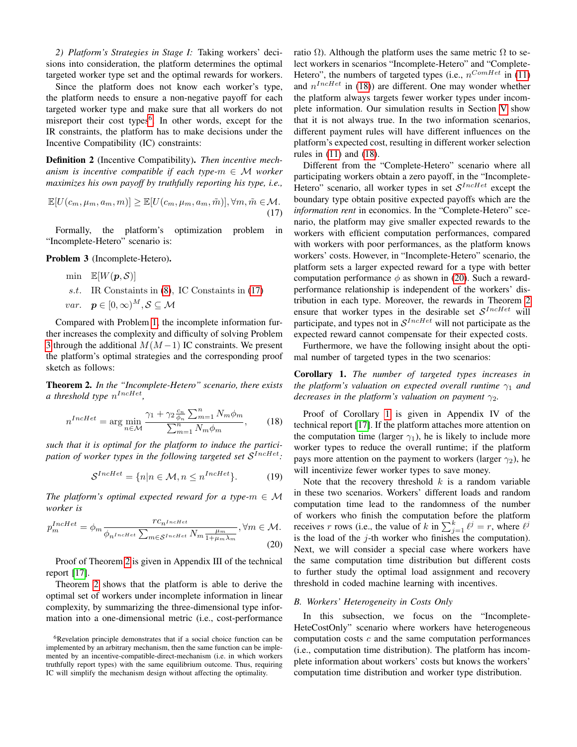*2) Platform's Strategies in Stage I:* Taking workers' decisions into consideration, the platform determines the optimal targeted worker type set and the optimal rewards for workers.

Since the platform does not know each worker's type, the platform needs to ensure a non-negative payoff for each targeted worker type and make sure that all workers do not misreport their cost types<sup>[6](#page-6-1)</sup>. In other words, except for the IR constraints, the platform has to make decisions under the Incentive Compatibility (IC) constraints:

Definition 2 (Incentive Compatibility). *Then incentive mechanism is incentive compatible if each type-* $m \in M$  *worker maximizes his own payoff by truthfully reporting his type, i.e.,*

<span id="page-6-2"></span>
$$
\mathbb{E}[U(c_m, \mu_m, a_m, m)] \ge \mathbb{E}[U(c_m, \mu_m, a_m, \tilde{m})], \forall m, \tilde{m} \in \mathcal{M}.
$$
\n(17)

Formally, the platform's optimization problem in "Incomplete-Hetero" scenario is:

<span id="page-6-3"></span>Problem 3 (Incomplete-Hetero).

min 
$$
\mathbb{E}[W(\mathbf{p}, \mathcal{S})]
$$
  
s.t. IR Constraints in (8), IC Constraints in (17)  
var.  $\mathbf{p} \in [0, \infty)^M, \mathcal{S} \subseteq \mathcal{M}$ 

Compared with Problem [1,](#page-4-6) the incomplete information further increases the complexity and difficulty of solving Problem [3](#page-6-3) through the additional  $M(M-1)$  IC constraints. We present the platform's optimal strategies and the corresponding proof sketch as follows:

<span id="page-6-4"></span>Theorem 2. *In the "Incomplete-Hetero" scenario, there exists* a threshold type  $n^{IncHet}$ ,

<span id="page-6-5"></span>
$$
n^{IncHet} = \arg\min_{n\in\mathcal{M}} \frac{\gamma_1 + \gamma_2 \frac{c_n}{\phi_n} \sum_{m=1}^n N_m \phi_m}{\sum_{m=1}^n N_m \phi_m},
$$
 (18)

*such that it is optimal for the platform to induce the participation of worker types in the following targeted set* S IncHet*:*

$$
S^{IncHet} = \{n|n \in \mathcal{M}, n \le n^{IncHet}\}. \tag{19}
$$

*The platform's optimal expected reward for a type-* $m \in M$ *worker is*

<span id="page-6-6"></span>
$$
p_m^{IncHet} = \phi_m \frac{r c_{n^{IncHet}}}{\phi_{n^{IncHet}} \sum_{m \in S^{IncHet}} N_m \frac{\mu_m}{1 + \mu_m \lambda_m}}, \forall m \in \mathcal{M}.
$$
\n(20)

Proof of Theorem [2](#page-6-4) is given in Appendix III of the technical report [\[17\]](#page-9-16).

Theorem [2](#page-6-4) shows that the platform is able to derive the optimal set of workers under incomplete information in linear complexity, by summarizing the three-dimensional type information into a one-dimensional metric (i.e., cost-performance ratio  $\Omega$ ). Although the platform uses the same metric  $\Omega$  to select workers in scenarios "Incomplete-Hetero" and "Complete-Hetero", the numbers of targeted types (i.e.,  $n^{ComHet}$  in [\(11\)](#page-5-6) and  $n^{IncHet}$  in [\(18\)](#page-6-5)) are different. One may wonder whether the platform always targets fewer worker types under incomplete information. Our simulation results in Section [V](#page-7-0) show that it is not always true. In the two information scenarios, different payment rules will have different influences on the platform's expected cost, resulting in different worker selection rules in [\(11\)](#page-5-6) and [\(18\)](#page-6-5).

Different from the "Complete-Hetero" scenario where all participating workers obtain a zero payoff, in the "Incomplete-Hetero" scenario, all worker types in set  $\mathcal{S}^{IncHet}$  except the boundary type obtain positive expected payoffs which are the *information rent* in economics. In the "Complete-Hetero" scenario, the platform may give smaller expected rewards to the workers with efficient computation performances, compared with workers with poor performances, as the platform knows workers' costs. However, in "Incomplete-Hetero" scenario, the platform sets a larger expected reward for a type with better computation performance  $\phi$  as shown in [\(20\)](#page-6-6). Such a rewardperformance relationship is independent of the workers' distribution in each type. Moreover, the rewards in Theorem [2](#page-6-4) ensure that worker types in the desirable set  $\mathcal{S}^{IncHet}$  will participate, and types not in  $\mathcal{S}^{IncHet}$  will not participate as the expected reward cannot compensate for their expected costs.

Furthermore, we have the following insight about the optimal number of targeted types in the two scenarios:

<span id="page-6-7"></span>Corollary 1. *The number of targeted types increases in the platform's valuation on expected overall runtime*  $\gamma_1$  *and decreases in the platform's valuation on payment*  $\gamma_2$ *.* 

Proof of Corollary [1](#page-6-7) is given in Appendix IV of the technical report [\[17\]](#page-9-16). If the platform attaches more attention on the computation time (larger  $\gamma_1$ ), he is likely to include more worker types to reduce the overall runtime; if the platform pays more attention on the payment to workers (larger  $\gamma_2$ ), he will incentivize fewer worker types to save money.

Note that the recovery threshold  $k$  is a random variable in these two scenarios. Workers' different loads and random computation time lead to the randomness of the number of workers who finish the computation before the platform receives r rows (i.e., the value of k in  $\sum_{j=1}^{k} \ell^{j} = r$ , where  $\ell^{j}$ is the load of the  $j$ -th worker who finishes the computation). Next, we will consider a special case where workers have the same computation time distribution but different costs to further study the optimal load assignment and recovery threshold in coded machine learning with incentives.

## <span id="page-6-0"></span>*B. Workers' Heterogeneity in Costs Only*

In this subsection, we focus on the "Incomplete-HeteCostOnly" scenario where workers have heterogeneous computation costs  $c$  and the same computation performances (i.e., computation time distribution). The platform has incomplete information about workers' costs but knows the workers' computation time distribution and worker type distribution.

<span id="page-6-1"></span><sup>&</sup>lt;sup>6</sup>Revelation principle demonstrates that if a social choice function can be implemented by an arbitrary mechanism, then the same function can be implemented by an incentive-compatible-direct-mechanism (i.e. in which workers truthfully report types) with the same equilibrium outcome. Thus, requiring IC will simplify the mechanism design without affecting the optimality.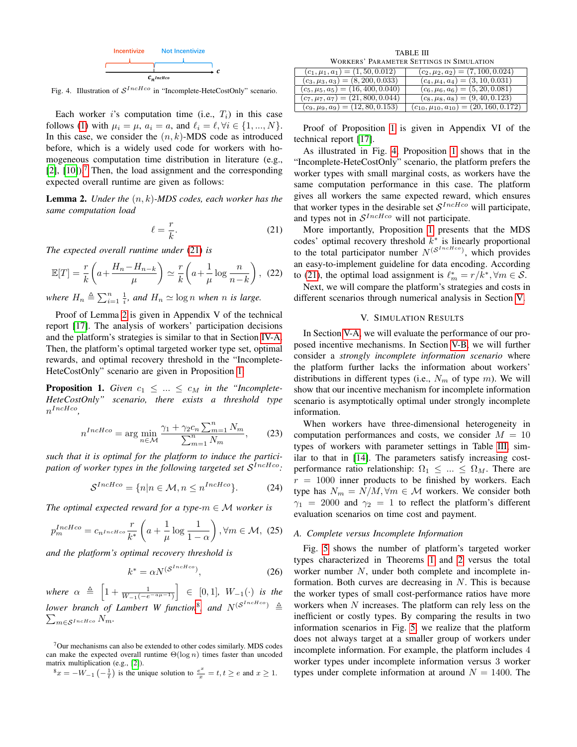

<span id="page-7-6"></span>Fig. 4. Illustration of  $S^{IncHco}$  in "Incomplete-HeteCostOnly" scenario.

Each worker i's computation time (i.e.,  $T_i$ ) in this case follows [\(1\)](#page-2-1) with  $\mu_i = \mu$ ,  $a_i = a$ , and  $\ell_i = \ell, \forall i \in \{1, ..., N\}.$ In this case, we consider the  $(n, k)$ -MDS code as introduced before, which is a widely used code for workers with homogeneous computation time distribution in literature (e.g.,  $[2]$ ,  $[10]$ ).<sup>[7](#page-7-1)</sup> Then, the load assignment and the corresponding expected overall runtime are given as follows:

<span id="page-7-3"></span>Lemma 2. *Under the* (n, k)*-MDS codes, each worker has the same computation load*

<span id="page-7-2"></span>
$$
\ell = \frac{r}{k}.\tag{21}
$$

*The expected overall runtime under* [\(21\)](#page-7-2) *is*

$$
\mathbb{E}[T] = \frac{r}{k} \left( a + \frac{H_n - H_{n-k}}{\mu} \right) \simeq \frac{r}{k} \left( a + \frac{1}{\mu} \log \frac{n}{n-k} \right), \tag{22}
$$

where  $H_n \triangleq \sum_{i=1}^n \frac{1}{i}$ , and  $H_n \simeq \log n$  when *n* is large.

Proof of Lemma [2](#page-7-3) is given in Appendix V of the technical report [\[17\]](#page-9-16). The analysis of workers' participation decisions and the platform's strategies is similar to that in Section [IV-A.](#page-5-1) Then, the platform's optimal targeted worker type set, optimal rewards, and optimal recovery threshold in the "Incomplete-HeteCostOnly" scenario are given in Proposition [1:](#page-7-4)

<span id="page-7-4"></span>**Proposition 1.** *Given*  $c_1 \leq ... \leq c_M$  *in the "Incomplete-HeteCostOnly" scenario, there exists a threshold type*  $n^{IncHco}$ ,

$$
n^{IncHco} = \arg\min_{n \in \mathcal{M}} \frac{\gamma_1 + \gamma_2 c_n \sum_{m=1}^n N_m}{\sum_{m=1}^n N_m},\qquad(23)
$$

*such that it is optimal for the platform to induce the participation of worker types in the following targeted set* S IncHco*:*

$$
S^{IncHco} = \{n | n \in \mathcal{M}, n \le n^{IncHco}\}. \tag{24}
$$

*The optimal expected reward for a type-* $m \in M$  *worker is* 

$$
p_m^{IncHco} = c_{n^{IncHco}} \frac{r}{k^*} \left( a + \frac{1}{\mu} \log \frac{1}{1 - \alpha} \right), \forall m \in \mathcal{M}, (25)
$$

*and the platform's optimal recovery threshold is*

$$
k^* = \alpha N^{(\mathcal{S}^{IncHco})},\tag{26}
$$

 $where \alpha \triangleq \left[1 + \frac{1}{W_{-1}(-e^{-a\mu-1})}\right] \in [0,1], W_{-1}(\cdot)$  *is the* lower branch of Lambert W function<sup>[8](#page-7-5)</sup>, and  $N^{(\mathcal{S}^{IncHo})} \triangleq$  $\sum_{m\in\mathcal{S}^{IncHco}}N_m.$ 

<span id="page-7-1"></span><sup>7</sup>Our mechanisms can also be extended to other codes similarly. MDS codes can make the expected overall runtime  $\Theta(\log n)$  times faster than uncoded matrix multiplication (e.g., [\[2\]](#page-9-1)).

TABLE III WORKERS' PARAMETER SETTINGS IN SIMULATION

<span id="page-7-8"></span>

| $(c_1, \mu_1, a_1) = (1, 50, 0.012)$   | $(c_2, \mu_2, a_2) = (7, 100, 0.024)$           |
|----------------------------------------|-------------------------------------------------|
| $(c_3, \mu_3, a_3) = (8, 200, 0.033)$  | $(c_4, \mu_4, a_4) = (3, 10, 0.031)$            |
| $(c_5, \mu_5, a_5) = (16, 400, 0.040)$ | $(c_6, \mu_6, a_6) = (5, 20, 0.081)$            |
| $(c_7, \mu_7, a_7) = (21, 800, 0.044)$ | $(c_8, \mu_8, a_8) = (9, 40, 0.123)$            |
| $(c_9, \mu_9, a_9) = (12, 80, 0.153)$  | $(c_{10}, \mu_{10}, a_{10}) = (20, 160, 0.172)$ |

Proof of Proposition [1](#page-7-4) is given in Appendix VI of the technical report [\[17\]](#page-9-16).

As illustrated in Fig. [4,](#page-7-6) Proposition [1](#page-7-4) shows that in the "Incomplete-HeteCostOnly" scenario, the platform prefers the worker types with small marginal costs, as workers have the same computation performance in this case. The platform gives all workers the same expected reward, which ensures that worker types in the desirable set  $\mathcal{S}^{IncHco}$  will participate, and types not in  $S^{IncHco}$  will not participate.

More importantly, Proposition [1](#page-7-4) presents that the MDS codes' optimal recovery threshold  $k^*$  is linearly proportional to the total participator number  $N^{(S^{IncHco})}$ , which provides an easy-to-implement guideline for data encoding. According to [\(21\)](#page-7-2), the optimal load assignment is  $\ell_m^* = r/k^*$ ,  $\forall m \in S$ .

Next, we will compare the platform's strategies and costs in different scenarios through numerical analysis in Section [V.](#page-7-0)

## V. SIMULATION RESULTS

<span id="page-7-0"></span>In Section [V-A,](#page-7-7) we will evaluate the performance of our proposed incentive mechanisms. In Section [V-B,](#page-8-1) we will further consider a *strongly incomplete information scenario* where the platform further lacks the information about workers' distributions in different types (i.e.,  $N_m$  of type m). We will show that our incentive mechanism for incomplete information scenario is asymptotically optimal under strongly incomplete information.

When workers have three-dimensional heterogeneity in computation performances and costs, we consider  $M = 10$ types of workers with parameter settings in Table [III,](#page-7-8) similar to that in [\[14\]](#page-9-13). The parameters satisfy increasing costperformance ratio relationship:  $\Omega_1 \leq \ldots \leq \Omega_M$ . There are  $r = 1000$  inner products to be finished by workers. Each type has  $N_m = N/M, \forall m \in \mathcal{M}$  workers. We consider both  $\gamma_1$  = 2000 and  $\gamma_2$  = 1 to reflect the platform's different evaluation scenarios on time cost and payment.

## <span id="page-7-7"></span>*A. Complete versus Incomplete Information*

Fig. [5](#page-8-2) shows the number of platform's targeted worker types characterized in Theorems [1](#page-5-2) and [2](#page-6-4) versus the total worker number N, under both complete and incomplete information. Both curves are decreasing in  $N$ . This is because the worker types of small cost-performance ratios have more workers when N increases. The platform can rely less on the inefficient or costly types. By comparing the results in two information scenarios in Fig. [5,](#page-8-2) we realize that the platform does not always target at a smaller group of workers under incomplete information. For example, the platform includes 4 worker types under incomplete information versus 3 worker types under complete information at around  $N = 1400$ . The

<span id="page-7-5"></span> $x^8 = -W_{-1}\left(-\frac{1}{t}\right)$  is the unique solution to  $\frac{e^x}{x} = t, t \ge e$  and  $x \ge 1$ .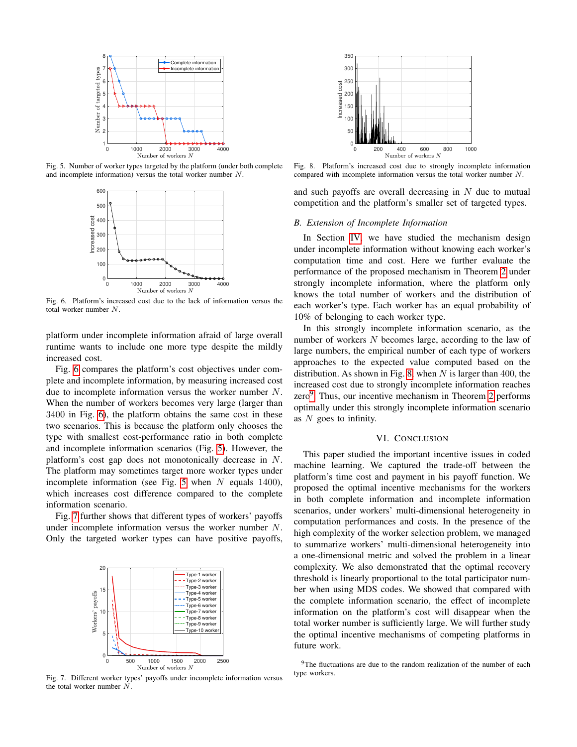

<span id="page-8-2"></span>Fig. 5. Number of worker types targeted by the platform (under both complete and incomplete information) versus the total worker number N.



<span id="page-8-3"></span>Fig. 6. Platform's increased cost due to the lack of information versus the total worker number N.

platform under incomplete information afraid of large overall runtime wants to include one more type despite the mildly increased cost.

Fig. [6](#page-8-3) compares the platform's cost objectives under complete and incomplete information, by measuring increased cost due to incomplete information versus the worker number N. When the number of workers becomes very large (larger than 3400 in Fig. [6\)](#page-8-3), the platform obtains the same cost in these two scenarios. This is because the platform only chooses the type with smallest cost-performance ratio in both complete and incomplete information scenarios (Fig. [5\)](#page-8-2). However, the platform's cost gap does not monotonically decrease in N. The platform may sometimes target more worker types under incomplete information (see Fig. [5](#page-8-2) when  $N$  equals 1400), which increases cost difference compared to the complete information scenario.

Fig. [7](#page-8-4) further shows that different types of workers' payoffs under incomplete information versus the worker number N. Only the targeted worker types can have positive payoffs,



<span id="page-8-4"></span>Fig. 7. Different worker types' payoffs under incomplete information versus the total worker number N.



<span id="page-8-5"></span>Fig. 8. Platform's increased cost due to strongly incomplete information compared with incomplete information versus the total worker number N.

and such payoffs are overall decreasing in  $N$  due to mutual competition and the platform's smaller set of targeted types.

# <span id="page-8-1"></span>*B. Extension of Incomplete Information*

In Section [IV,](#page-5-0) we have studied the mechanism design under incomplete information without knowing each worker's computation time and cost. Here we further evaluate the performance of the proposed mechanism in Theorem [2](#page-6-4) under strongly incomplete information, where the platform only knows the total number of workers and the distribution of each worker's type. Each worker has an equal probability of 10% of belonging to each worker type.

In this strongly incomplete information scenario, as the number of workers N becomes large, according to the law of large numbers, the empirical number of each type of workers approaches to the expected value computed based on the distribution. As shown in Fig. [8,](#page-8-5) when  $N$  is larger than 400, the increased cost due to strongly incomplete information reaches zero<sup>[9](#page-8-6)</sup>. Thus, our incentive mechanism in Theorem [2](#page-6-4) performs optimally under this strongly incomplete information scenario as  $N$  goes to infinity.

# VI. CONCLUSION

<span id="page-8-0"></span>This paper studied the important incentive issues in coded machine learning. We captured the trade-off between the platform's time cost and payment in his payoff function. We proposed the optimal incentive mechanisms for the workers in both complete information and incomplete information scenarios, under workers' multi-dimensional heterogeneity in computation performances and costs. In the presence of the high complexity of the worker selection problem, we managed to summarize workers' multi-dimensional heterogeneity into a one-dimensional metric and solved the problem in a linear complexity. We also demonstrated that the optimal recovery threshold is linearly proportional to the total participator number when using MDS codes. We showed that compared with the complete information scenario, the effect of incomplete information on the platform's cost will disappear when the total worker number is sufficiently large. We will further study the optimal incentive mechanisms of competing platforms in future work.

<span id="page-8-6"></span><sup>&</sup>lt;sup>9</sup>The fluctuations are due to the random realization of the number of each type workers.